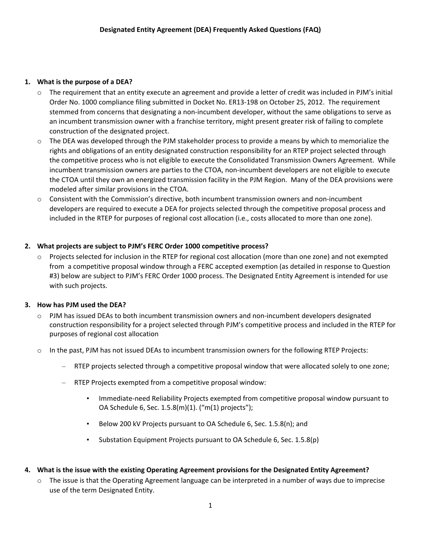#### **1. What is the purpose of a DEA?**

- $\circ$  The requirement that an entity execute an agreement and provide a letter of credit was included in PJM's initial Order No. 1000 compliance filing submitted in Docket No. ER13-198 on October 25, 2012. The requirement stemmed from concerns that designating a non-incumbent developer, without the same obligations to serve as an incumbent transmission owner with a franchise territory, might present greater risk of failing to complete construction of the designated project.
- $\circ$  The DEA was developed through the PJM stakeholder process to provide a means by which to memorialize the rights and obligations of an entity designated construction responsibility for an RTEP project selected through the competitive process who is not eligible to execute the Consolidated Transmission Owners Agreement. While incumbent transmission owners are parties to the CTOA, non-incumbent developers are not eligible to execute the CTOA until they own an energized transmission facility in the PJM Region. Many of the DEA provisions were modeled after similar provisions in the CTOA.
- $\circ$  Consistent with the Commission's directive, both incumbent transmission owners and non-incumbent developers are required to execute a DEA for projects selected through the competitive proposal process and included in the RTEP for purposes of regional cost allocation (i.e., costs allocated to more than one zone).

### **2. What projects are subject to PJM's FERC Order 1000 competitive process?**

o Projects selected for inclusion in the RTEP for regional cost allocation (more than one zone) and not exempted from a competitive proposal window through a FERC accepted exemption (as detailed in response to Question #3) below are subject to PJM's FERC Order 1000 process. The Designated Entity Agreement is intended for use with such projects.

### **3. How has PJM used the DEA?**

- $\circ$  PJM has issued DEAs to both incumbent transmission owners and non-incumbent developers designated construction responsibility for a project selected through PJM's competitive process and included in the RTEP for purposes of regional cost allocation
- o In the past, PJM has not issued DEAs to incumbent transmission owners for the following RTEP Projects:
	- RTEP projects selected through a competitive proposal window that were allocated solely to one zone;
	- RTEP Projects exempted from a competitive proposal window:
		- Immediate-need Reliability Projects exempted from competitive proposal window pursuant to OA Schedule 6, Sec. 1.5.8(m)(1). ("m(1) projects");
		- Below 200 kV Projects pursuant to OA Schedule 6, Sec. 1.5.8(n); and
		- Substation Equipment Projects pursuant to OA Schedule 6, Sec. 1.5.8(p)
- **4. What is the issue with the existing Operating Agreement provisions for the Designated Entity Agreement?**
	- $\circ$  The issue is that the Operating Agreement language can be interpreted in a number of ways due to imprecise use of the term Designated Entity.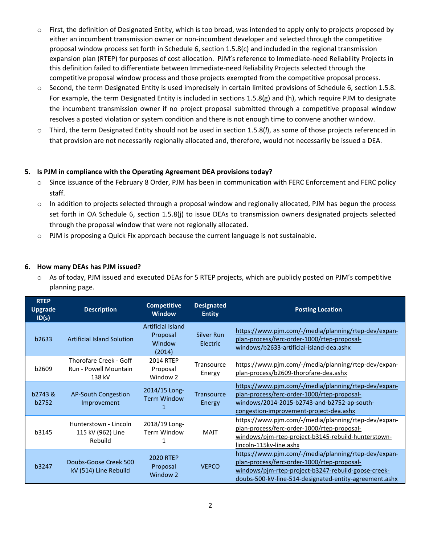- $\circ$  First, the definition of Designated Entity, which is too broad, was intended to apply only to projects proposed by either an incumbent transmission owner or non-incumbent developer and selected through the competitive proposal window process set forth in Schedule 6, section 1.5.8(c) and included in the regional transmission expansion plan (RTEP) for purposes of cost allocation. PJM's reference to Immediate-need Reliability Projects in this definition failed to differentiate between Immediate-need Reliability Projects selected through the competitive proposal window process and those projects exempted from the competitive proposal process.
- o Second, the term Designated Entity is used imprecisely in certain limited provisions of Schedule 6, section 1.5.8. For example, the term Designated Entity is included in sections 1.5.8(g) and (h), which require PJM to designate the incumbent transmission owner if no project proposal submitted through a competitive proposal window resolves a posted violation or system condition and there is not enough time to convene another window.
- o Third, the term Designated Entity should not be used in section 1.5.8(*l*), as some of those projects referenced in that provision are not necessarily regionally allocated and, therefore, would not necessarily be issued a DEA.

### **5. Is PJM in compliance with the Operating Agreement DEA provisions today?**

- o Since issuance of the February 8 Order, PJM has been in communication with FERC Enforcement and FERC policy staff.
- o In addition to projects selected through a proposal window and regionally allocated, PJM has begun the process set forth in OA Schedule 6, section 1.5.8(j) to issue DEAs to transmission owners designated projects selected through the proposal window that were not regionally allocated.
- $\circ$  PJM is proposing a Quick Fix approach because the current language is not sustainable.

### **6. How many DEAs has PJM issued?**

 $\circ$  As of today, PJM issued and executed DEAs for 5 RTEP projects, which are publicly posted on PJM's competitive planning page.

| <b>RTEP</b><br><b>Upgrade</b><br>ID(s) | <b>Description</b>                                        | <b>Competitive</b><br><b>Window</b>                      | <b>Designated</b><br><b>Entity</b> | <b>Posting Location</b>                                                                                                                                                                                              |
|----------------------------------------|-----------------------------------------------------------|----------------------------------------------------------|------------------------------------|----------------------------------------------------------------------------------------------------------------------------------------------------------------------------------------------------------------------|
| b2633                                  | <b>Artificial Island Solution</b>                         | <b>Artificial Island</b><br>Proposal<br>Window<br>(2014) | Silver Run<br><b>Electric</b>      | https://www.pjm.com/-/media/planning/rtep-dev/expan-<br>plan-process/ferc-order-1000/rtep-proposal-<br>windows/b2633-artificial-island-dea.ashx                                                                      |
| b2609                                  | Thorofare Creek - Goff<br>Run - Powell Mountain<br>138 kV | 2014 RTEP<br>Proposal<br>Window 2                        | Transource<br>Energy               | https://www.pjm.com/-/media/planning/rtep-dev/expan-<br>plan-process/b2609-thorofare-dea.ashx                                                                                                                        |
| b2743&<br>b2752                        | AP-South Congestion<br>Improvement                        | 2014/15 Long-<br><b>Term Window</b>                      | Transource<br>Energy               | https://www.pjm.com/-/media/planning/rtep-dev/expan-<br>plan-process/ferc-order-1000/rtep-proposal-<br>windows/2014-2015-b2743-and-b2752-ap-south-<br>congestion-improvement-project-dea.ashx                        |
| b3145                                  | Hunterstown - Lincoln<br>115 kV (962) Line<br>Rebuild     | 2018/19 Long-<br><b>Term Window</b><br>1                 | <b>MAIT</b>                        | https://www.pjm.com/-/media/planning/rtep-dev/expan-<br>plan-process/ferc-order-1000/rtep-proposal-<br>windows/pjm-rtep-project-b3145-rebuild-hunterstown-<br>lincoln-115kv-line.ashx                                |
| b3247                                  | Doubs-Goose Creek 500<br>kV (514) Line Rebuild            | <b>2020 RTEP</b><br>Proposal<br>Window <sub>2</sub>      | <b>VEPCO</b>                       | https://www.pjm.com/-/media/planning/rtep-dev/expan-<br>plan-process/ferc-order-1000/rtep-proposal-<br>windows/pjm-rtep-project-b3247-rebuild-goose-creek-<br>doubs-500-kV-line-514-designated-entity-agreement.ashx |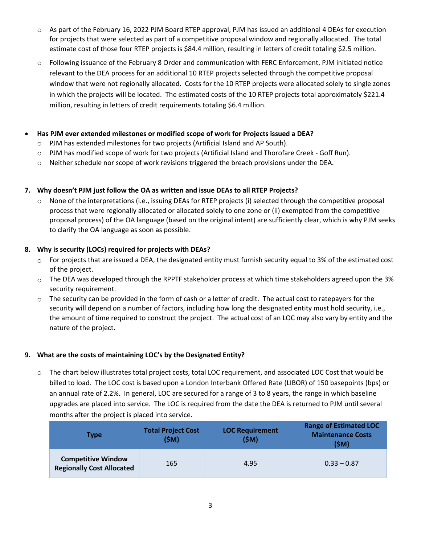- o As part of the February 16, 2022 PJM Board RTEP approval, PJM has issued an additional 4 DEAs for execution for projects that were selected as part of a competitive proposal window and regionally allocated. The total estimate cost of those four RTEP projects is \$84.4 million, resulting in letters of credit totaling \$2.5 million.
- o Following issuance of the February 8 Order and communication with FERC Enforcement, PJM initiated notice relevant to the DEA process for an additional 10 RTEP projects selected through the competitive proposal window that were not regionally allocated. Costs for the 10 RTEP projects were allocated solely to single zones in which the projects will be located. The estimated costs of the 10 RTEP projects total approximately \$221.4 million, resulting in letters of credit requirements totaling \$6.4 million.

### • **Has PJM ever extended milestones or modified scope of work for Projects issued a DEA?**

- o PJM has extended milestones for two projects (Artificial Island and AP South).
- o PJM has modified scope of work for two projects (Artificial Island and Thorofare Creek Goff Run).
- $\circ$  Neither schedule nor scope of work revisions triggered the breach provisions under the DEA.

### **7. Why doesn't PJM just follow the OA as written and issue DEAs to all RTEP Projects?**

 $\circ$  None of the interpretations (i.e., issuing DEAs for RTEP projects (i) selected through the competitive proposal process that were regionally allocated or allocated solely to one zone or (ii) exempted from the competitive proposal process) of the OA language (based on the original intent) are sufficiently clear, which is why PJM seeks to clarify the OA language as soon as possible.

### **8. Why is security (LOCs) required for projects with DEAs?**

- $\circ$  For projects that are issued a DEA, the designated entity must furnish security equal to 3% of the estimated cost of the project.
- $\circ$  The DEA was developed through the RPPTF stakeholder process at which time stakeholders agreed upon the 3% security requirement.
- $\circ$  The security can be provided in the form of cash or a letter of credit. The actual cost to ratepayers for the security will depend on a number of factors, including how long the designated entity must hold security, i.e., the amount of time required to construct the project. The actual cost of an LOC may also vary by entity and the nature of the project.

### **9. What are the costs of maintaining LOC's by the Designated Entity?**

o The chart below illustrates total project costs, total LOC requirement, and associated LOC Cost that would be billed to load. The LOC cost is based upon a London Interbank Offered Rate (LIBOR) of 150 basepoints (bps) or an annual rate of 2.2%. In general, LOC are secured for a range of 3 to 8 years, the range in which baseline upgrades are placed into service. The LOC is required from the date the DEA is returned to PJM until several months after the project is placed into service.

| <b>Type</b>                                                   | <b>Total Project Cost</b><br>(SM) | <b>LOC Requirement</b><br>(SM) | <b>Range of Estimated LOC</b><br><b>Maintenance Costs</b><br>(SM) |
|---------------------------------------------------------------|-----------------------------------|--------------------------------|-------------------------------------------------------------------|
| <b>Competitive Window</b><br><b>Regionally Cost Allocated</b> | 165                               | 4.95                           | $0.33 - 0.87$                                                     |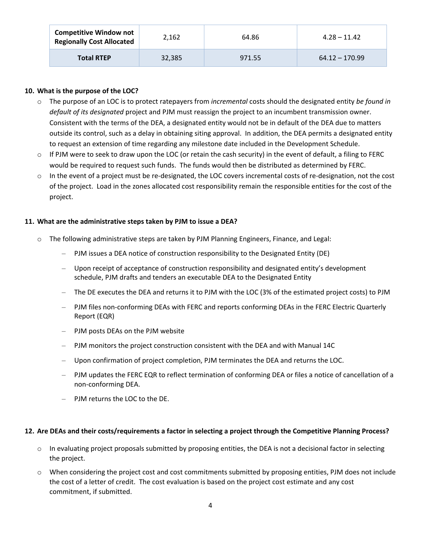| <b>Competitive Window not</b><br><b>Regionally Cost Allocated</b> | 2,162  | 64.86  | $4.28 - 11.42$   |
|-------------------------------------------------------------------|--------|--------|------------------|
| <b>Total RTEP</b>                                                 | 32,385 | 971.55 | $64.12 - 170.99$ |

### **10. What is the purpose of the LOC?**

- o The purpose of an LOC is to protect ratepayers from *incremental* costs should the designated entity *be found in default of its designated* project and PJM must reassign the project to an incumbent transmission owner. Consistent with the terms of the DEA, a designated entity would not be in default of the DEA due to matters outside its control, such as a delay in obtaining siting approval. In addition, the DEA permits a designated entity to request an extension of time regarding any milestone date included in the Development Schedule.
- $\circ$  If PJM were to seek to draw upon the LOC (or retain the cash security) in the event of default, a filing to FERC would be required to request such funds. The funds would then be distributed as determined by FERC.
- $\circ$  In the event of a project must be re-designated, the LOC covers incremental costs of re-designation, not the cost of the project. Load in the zones allocated cost responsibility remain the responsible entities for the cost of the project.

#### **11. What are the administrative steps taken by PJM to issue a DEA?**

- o The following administrative steps are taken by PJM Planning Engineers, Finance, and Legal:
	- PJM issues a DEA notice of construction responsibility to the Designated Entity (DE)
	- Upon receipt of acceptance of construction responsibility and designated entity's development schedule, PJM drafts and tenders an executable DEA to the Designated Entity
	- The DE executes the DEA and returns it to PJM with the LOC (3% of the estimated project costs) to PJM
	- PJM files non-conforming DEAs with FERC and reports conforming DEAs in the FERC Electric Quarterly Report (EQR)
	- PJM posts DEAs on the PJM website
	- PJM monitors the project construction consistent with the DEA and with Manual 14C
	- Upon confirmation of project completion, PJM terminates the DEA and returns the LOC.
	- PJM updates the FERC EQR to reflect termination of conforming DEA or files a notice of cancellation of a non-conforming DEA.
	- PJM returns the LOC to the DE.

#### **12. Are DEAs and their costs/requirements a factor in selecting a project through the Competitive Planning Process?**

- $\circ$  In evaluating project proposals submitted by proposing entities, the DEA is not a decisional factor in selecting the project.
- o When considering the project cost and cost commitments submitted by proposing entities, PJM does not include the cost of a letter of credit. The cost evaluation is based on the project cost estimate and any cost commitment, if submitted.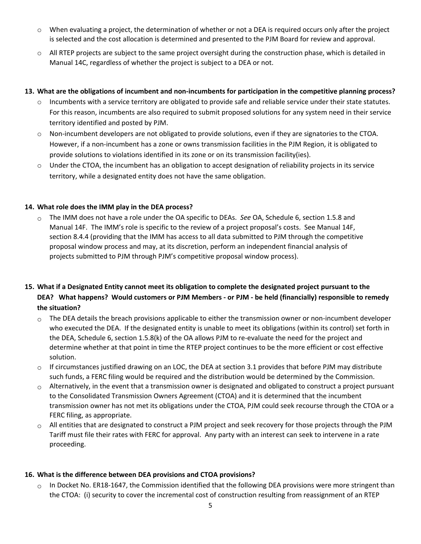- o When evaluating a project, the determination of whether or not a DEA is required occurs only after the project is selected and the cost allocation is determined and presented to the PJM Board for review and approval.
- o All RTEP projects are subject to the same project oversight during the construction phase, which is detailed in Manual 14C, regardless of whether the project is subject to a DEA or not.

#### **13. What are the obligations of incumbent and non-incumbents for participation in the competitive planning process?**

- $\circ$  Incumbents with a service territory are obligated to provide safe and reliable service under their state statutes. For this reason, incumbents are also required to submit proposed solutions for any system need in their service territory identified and posted by PJM.
- o Non-incumbent developers are not obligated to provide solutions, even if they are signatories to the CTOA. However, if a non-incumbent has a zone or owns transmission facilities in the PJM Region, it is obligated to provide solutions to violations identified in its zone or on its transmission facility(ies).
- o Under the CTOA, the incumbent has an obligation to accept designation of reliability projects in its service territory, while a designated entity does not have the same obligation.

### **14. What role does the IMM play in the DEA process?**

o The IMM does not have a role under the OA specific to DEAs. *See* OA, Schedule 6, section 1.5.8 and Manual 14F. The IMM's role is specific to the review of a project proposal's costs. See Manual 14F, section 8.4.4 (providing that the IMM has access to all data submitted to PJM through the competitive proposal window process and may, at its discretion, perform an independent financial analysis of projects submitted to PJM through PJM's competitive proposal window process).

# **15. What if a Designated Entity cannot meet its obligation to complete the designated project pursuant to the DEA? What happens? Would customers or PJM Members - or PJM - be held (financially) responsible to remedy the situation?**

- $\circ$  The DEA details the breach provisions applicable to either the transmission owner or non-incumbent developer who executed the DEA. If the designated entity is unable to meet its obligations (within its control) set forth in the DEA, Schedule 6, section 1.5.8(k) of the OA allows PJM to re-evaluate the need for the project and determine whether at that point in time the RTEP project continues to be the more efficient or cost effective solution.
- $\circ$  If circumstances justified drawing on an LOC, the DEA at section 3.1 provides that before PJM may distribute such funds, a FERC filing would be required and the distribution would be determined by the Commission.
- $\circ$  Alternatively, in the event that a transmission owner is designated and obligated to construct a project pursuant to the Consolidated Transmission Owners Agreement (CTOA) and it is determined that the incumbent transmission owner has not met its obligations under the CTOA, PJM could seek recourse through the CTOA or a FERC filing, as appropriate.
- $\circ$  All entities that are designated to construct a PJM project and seek recovery for those projects through the PJM Tariff must file their rates with FERC for approval. Any party with an interest can seek to intervene in a rate proceeding.

### **16. What is the difference between DEA provisions and CTOA provisions?**

 $\circ$  In Docket No. ER18-1647, the Commission identified that the following DEA provisions were more stringent than the CTOA: (i) security to cover the incremental cost of construction resulting from reassignment of an RTEP